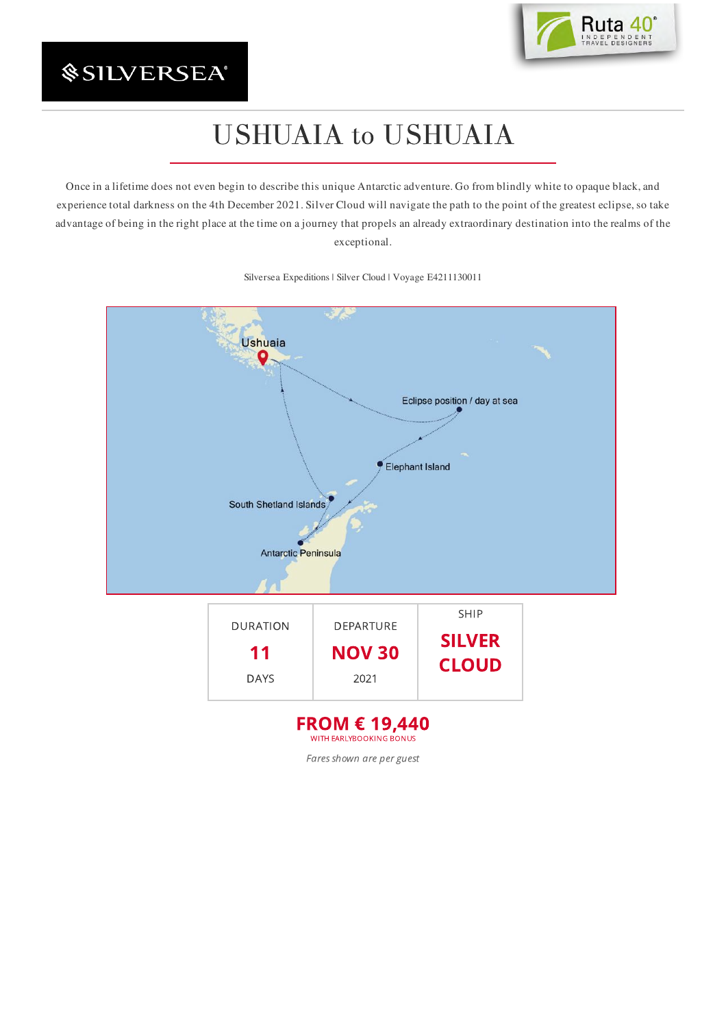

# **USHUAIA to USHUAIA**

Once in a lifetime does not even begin to describe this unique Antarctic adventure. Go from blindly white to opaque black, and experience total darkness on the 4th December 2021. Silver Cloud will navigate the path to the point of the greatest eclipse, so take advantage of being in the right place at the time on a journey that propels an already extraordinary destination into the realms of the exceptional.



Silversea Expeditions | Silver Cloud | Voyage E4211130011



Fares shown are per guest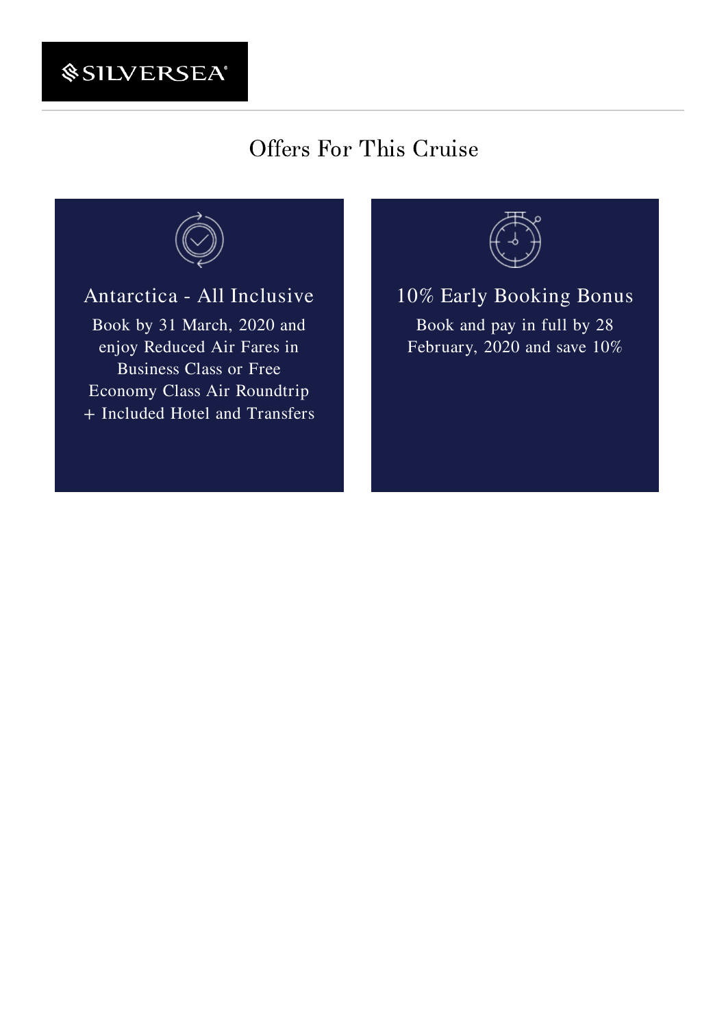# Offers For This Cruise



Antarctica - All Inclusive Book by 31 March, 2020 and

enjoy Reduced Air Fares in Business Class or Free Economy Class Air Roundtrip + Included Hotel and Transfers



10% Early Booking Bonus Book and pay in full by 28 February, 2020 and save 10%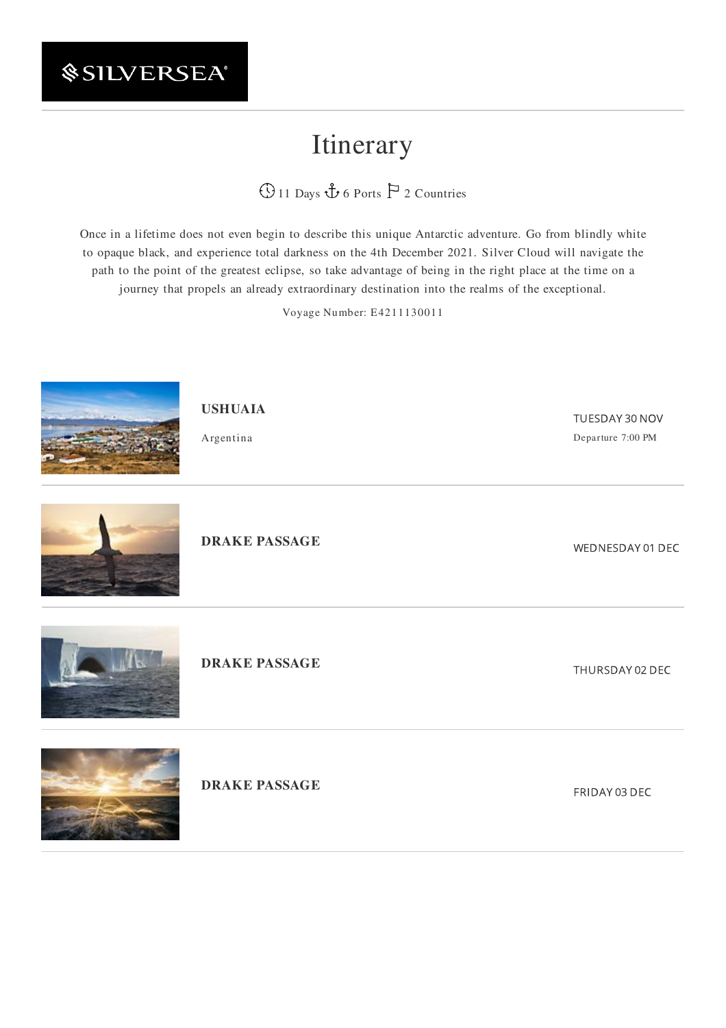# **Itinerary**

 $\bigcirc$  11 Days  $\mathring{\mathbf{U}}$  6 Ports  $\mathring{\mathsf{P}}$  2 Countries

Once in a lifetime does not even begin to describe this unique Antarctic adventure. Go from blindly white to opaque black, and experience total darkness on the 4th December 2021. Silver Cloud will navigate the path to the point of the greatest eclipse, so take advantage of being in the right place at the time on a journey that propels an already extraordinary destination into the realms of the exceptional.

Voyage Number: E4211130011



**USHUAIA**

TUESDAY 30 NOV Argentina Departure 7:00 PM



**DRAKE PASSAGE** 

WEDNESDAY 01 DEC



**DRAKE PASSAGE** 

THURSDAY 02 DEC

**DRAKE PASSAGE**

FRIDAY 03 DEC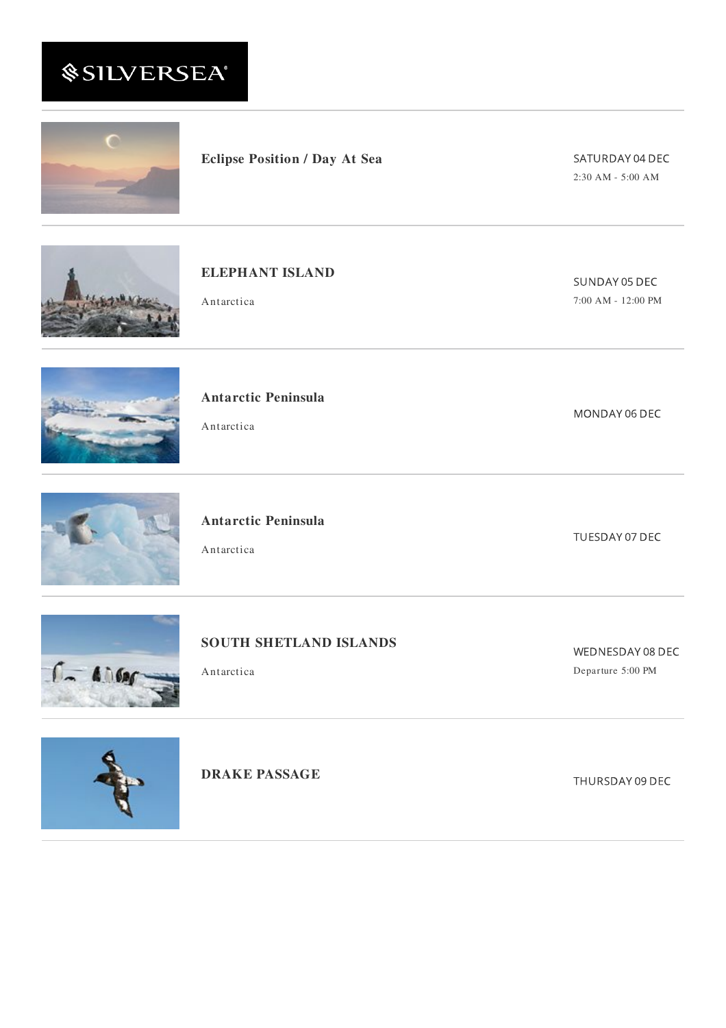

### **Eclipse Position / Day At Sea**

SATURDAY 04 DEC  $2:30$  AM -  $5:00$  AM



### **ELEPHANT ISLAND**

SUNDAY 05 DEC Antarctica 7:00 AM - 12:00 PM



**Antarctic Peninsula**

Antarctica

MONDAY 06 DEC



### **Antarctic Peninsula**

Antarctica

TUESDAY 07 DEC



### **SOUTH SHETLAND ISLANDS**

WEDNESDAY 08 DEC Antarctica Departure 5:00 PM



### **DRAKE PASSAGE**

THURSDAY 09 DEC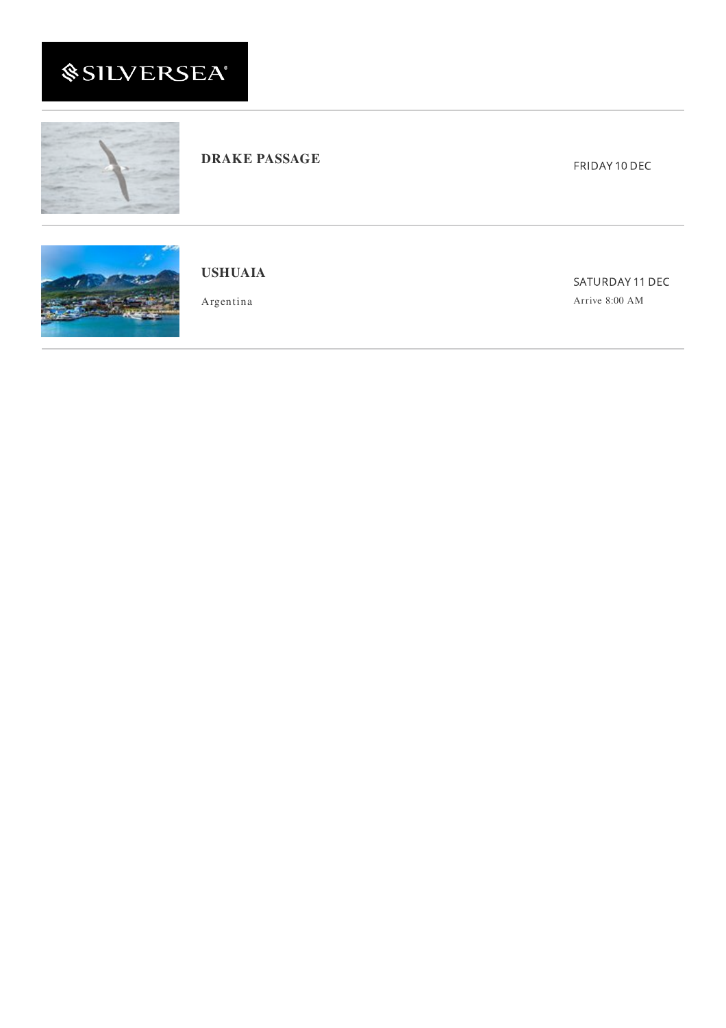



### **DRAKE PASSAGE**

FRIDAY 10 DEC



#### **USHUAIA**

SATURDAY 11 DEC Argentina Arrive 8:00 AM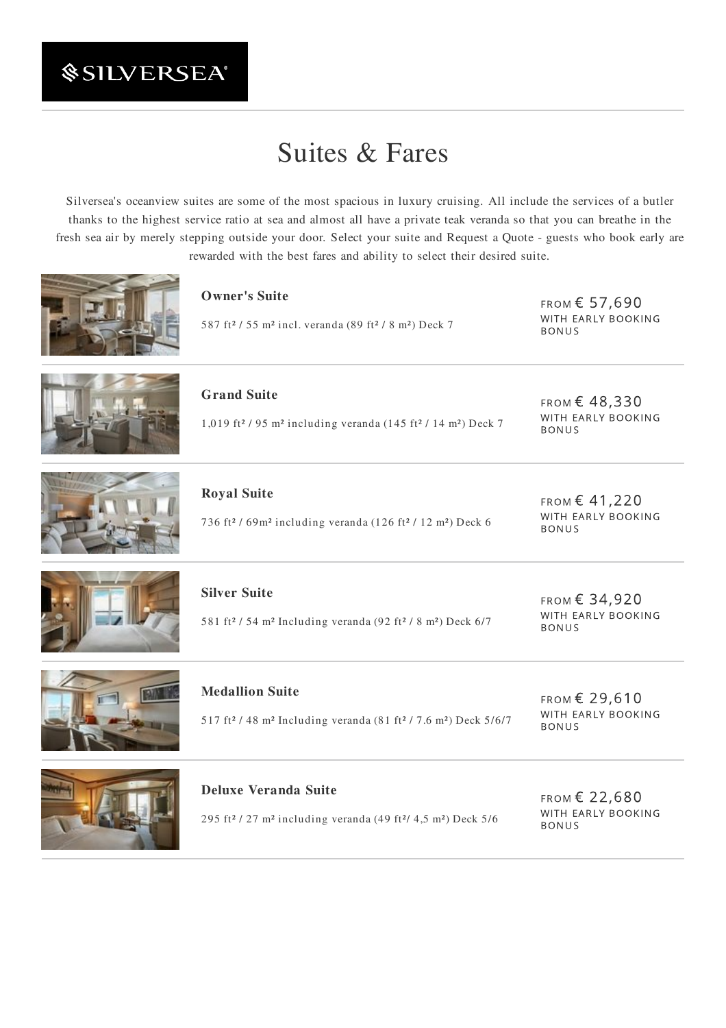# Suites & Fares

Silversea's oceanview suites are some of the most spacious in luxury cruising. All include the services of a butler thanks to the highest service ratio at sea and almost all have a private teak veranda so that you can breathe in the fresh sea air by merely stepping outside your door. Select your suite and Request a Quote - guests who book early are rewarded with the best fares and ability to select their desired suite.

| <b>Owner's Suite</b><br>587 ft <sup>2</sup> / 55 m <sup>2</sup> incl. veranda (89 ft <sup>2</sup> / 8 m <sup>2</sup> ) Deck 7                | FROM € 57,690<br>WITH EARLY BOOKING<br><b>BONUS</b> |
|----------------------------------------------------------------------------------------------------------------------------------------------|-----------------------------------------------------|
| <b>Grand Suite</b><br>1,019 ft <sup>2</sup> / 95 m <sup>2</sup> including veranda (145 ft <sup>2</sup> / 14 m <sup>2</sup> ) Deck 7          | FROM € 48,330<br>WITH EARLY BOOKING<br><b>BONUS</b> |
| <b>Royal Suite</b><br>736 ft <sup>2</sup> / 69m <sup>2</sup> including veranda (126 ft <sup>2</sup> / 12 m <sup>2</sup> ) Deck 6             | FROM € 41,220<br>WITH EARLY BOOKING<br><b>BONUS</b> |
| <b>Silver Suite</b><br>581 ft <sup>2</sup> / 54 m <sup>2</sup> Including veranda (92 ft <sup>2</sup> / 8 m <sup>2</sup> ) Deck 6/7           | FROM € 34,920<br>WITH EARLY BOOKING<br><b>BONUS</b> |
| <b>Medallion Suite</b><br>517 ft <sup>2</sup> / 48 m <sup>2</sup> Including veranda (81 ft <sup>2</sup> / 7.6 m <sup>2</sup> ) Deck 5/6/7    | FROM € 29,610<br>WITH EARLY BOOKING<br><b>BONUS</b> |
| <b>Deluxe Veranda Suite</b><br>295 ft <sup>2</sup> / 27 m <sup>2</sup> including veranda (49 ft <sup>2</sup> / 4,5 m <sup>2</sup> ) Deck 5/6 | FROM € 22,680<br>WITH EARLY BOOKING<br><b>BONUS</b> |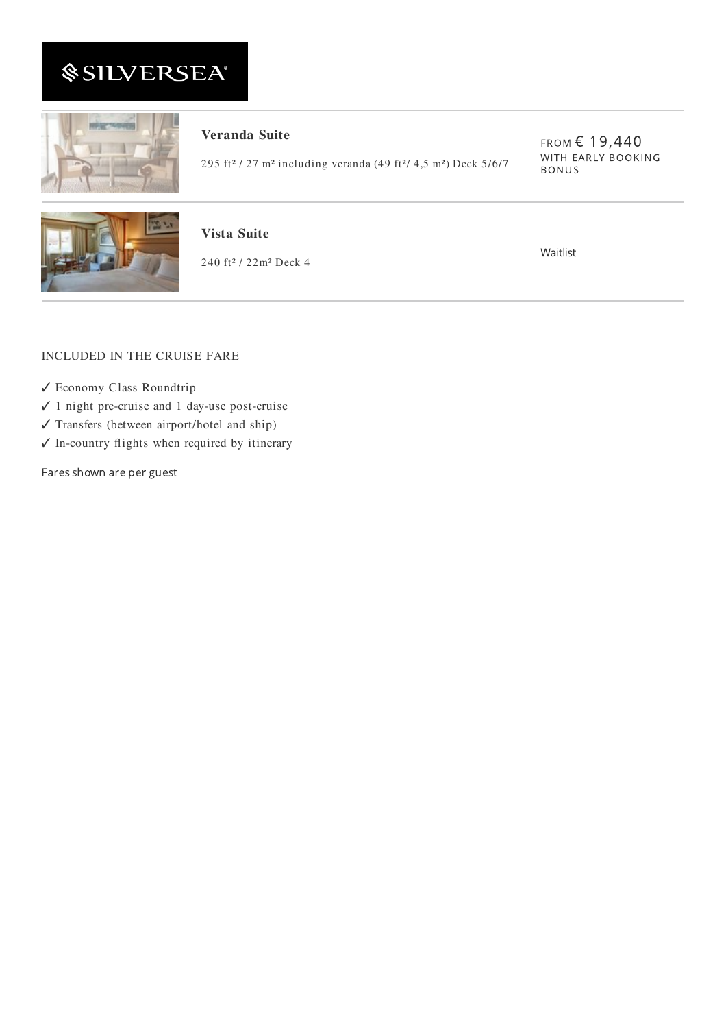



### **Veranda Suite**

295 ft<sup>2</sup> / 27 m<sup>2</sup> including veranda (49 ft<sup>2</sup>/ 4,5 m<sup>2</sup>) Deck 5/6/7

FROM € 19,440 WITH EARLY BOOKING **BONUS** 



### **Vista Suite**

240 ft<sup>2</sup> / 22m<sup>2</sup> Deck 4

Waitlist

### INCLUDED IN THE CRUISE FARE

- ✓ Economy Class Roundtrip
- $\checkmark$  1 night pre-cruise and 1 day-use post-cruise
- $\checkmark$  Transfers (between airport/hotel and ship)
- $\checkmark$  In-country flights when required by itinerary

Fares shown are per guest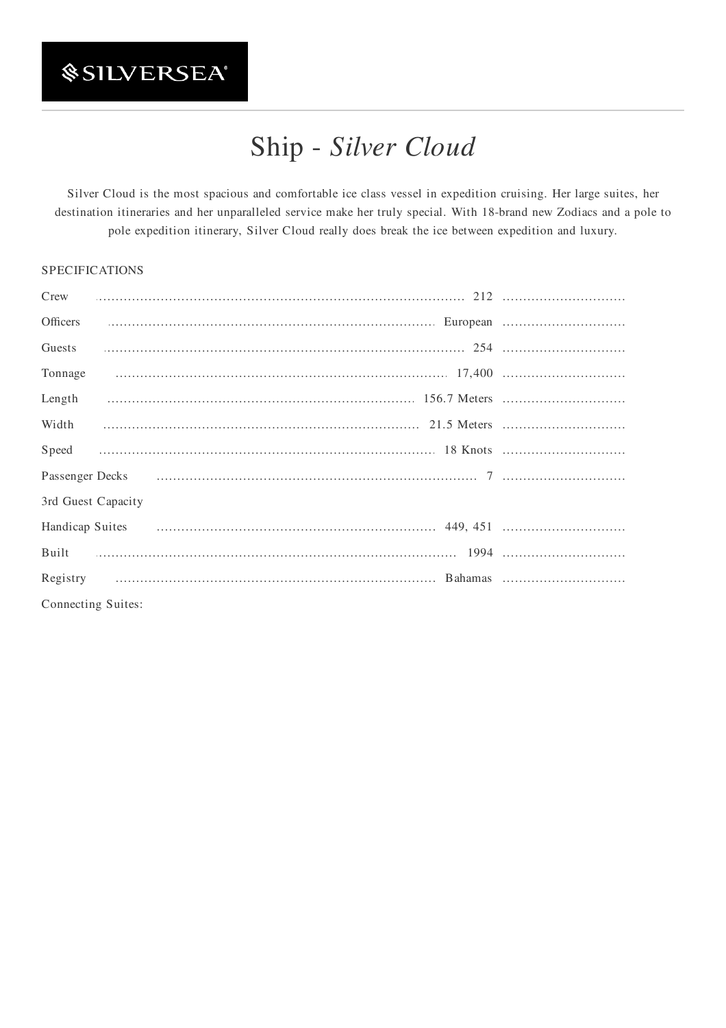# Ship - Silver Cloud

Silver Cloud is the most spacious and comfortable ice class vessel in expedition cruising. Her large suites, her destination itineraries and her unparalleled service make her truly special. With 18-brand new Zodiacs and a pole to pole expedition itinerary, Silver Cloud really does break the ice between expedition and luxury.

#### **SPECIFICATIONS**

| Crew               |  |  |  |  |
|--------------------|--|--|--|--|
| Officers           |  |  |  |  |
| Guests             |  |  |  |  |
| Tonnage            |  |  |  |  |
| Length             |  |  |  |  |
| Width              |  |  |  |  |
| Speed              |  |  |  |  |
|                    |  |  |  |  |
| 3rd Guest Capacity |  |  |  |  |
|                    |  |  |  |  |
|                    |  |  |  |  |
|                    |  |  |  |  |
| Connecting Suites: |  |  |  |  |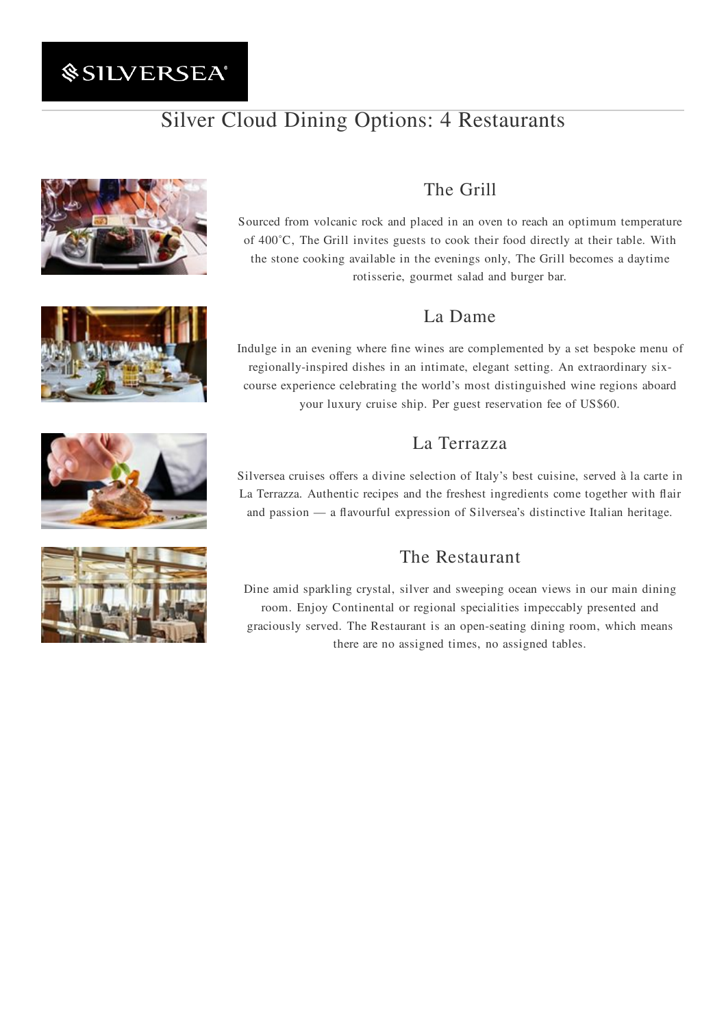# Silver Cloud Dining Options: 4 Restaurants



*<u>SILVERSEA®</u>* 



### The Grill

Sourced from volcanic rock and placed in an oven to reach an optimum temperature of 400°C, The Grill invites guests to cook their food directly at their table. With the stone cooking available in the evenings only, The Grill becomes a daytime rotisserie, gourmet salad and burger bar.

### La Dame

Indulge in an evening where fine wines are complemented by a set bespoke menu of regionally-inspired dishes in an intimate, elegant setting. An extraordinary sixcourse experience celebrating the world's most distinguished wine regions aboard your luxury cruise ship. Per guest reservation fee of US\$60.

### La Terrazza

Silversea cruises offers a divine selection of Italy's best cuisine, served à la carte in La Terrazza. Authentic recipes and the freshest ingredients come together with flair and  $passion - a$  flavourful expression of Silversea's distinctive Italian heritage.

### The Restaurant

Dine amid sparkling crystal, silver and sweeping ocean views in our main dining room. Enjoy Continental or regional specialities impeccably presented and graciously served. The Restaurant is an open-seating dining room, which means there are no assigned times, no assigned tables.



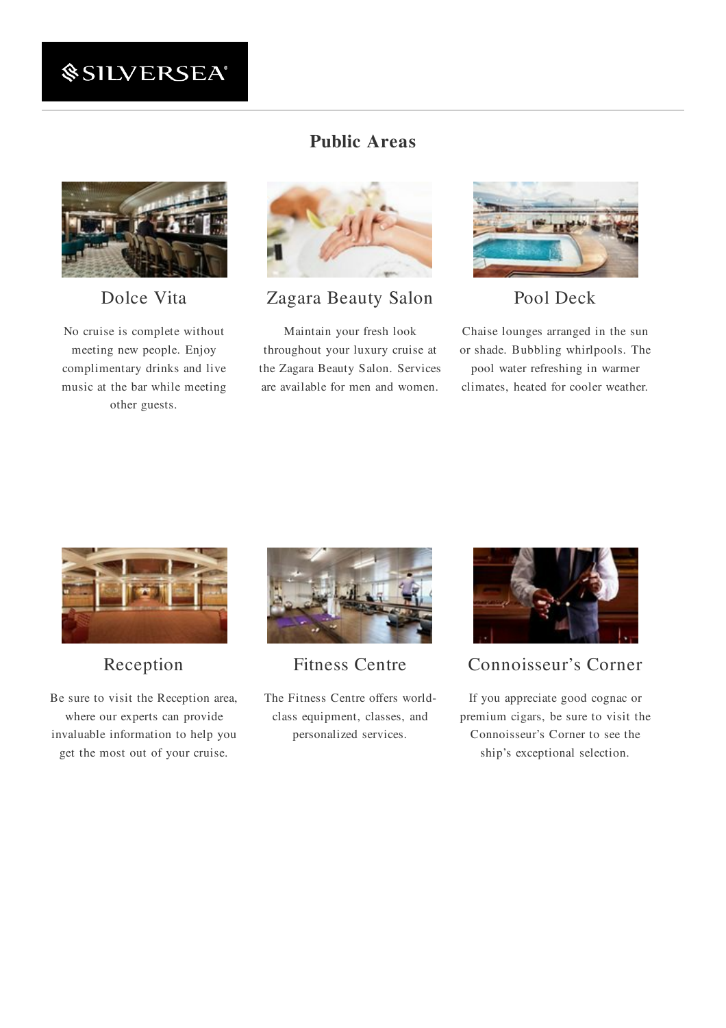### **Public Areas**



Dolce Vita

No cruise is complete without meeting new people. Enjoy complimentary drinks and live music at the bar while meeting other guests.



Zagara Beauty Salon

Maintain your fresh look throughout your luxury cruise at the Zagara Beauty Salon. Services are available for men and women.



Pool Deck

Chaise lounges arranged in the sun or shade. Bubbling whirlpools. The pool water refreshing in warmer climates, heated for cooler weather.



Reception

Be sure to visit the Reception area, where our experts can provide invaluable information to help you get the most out of your cruise.



Fitness Centre

The Fitness Centre offers worldclass equipment, classes, and personalized services.



Connoisseur's Corner

If you appreciate good cognac or premium cigars, be sure to visit the Connoisseur's Corner to see the ship's exceptional selection.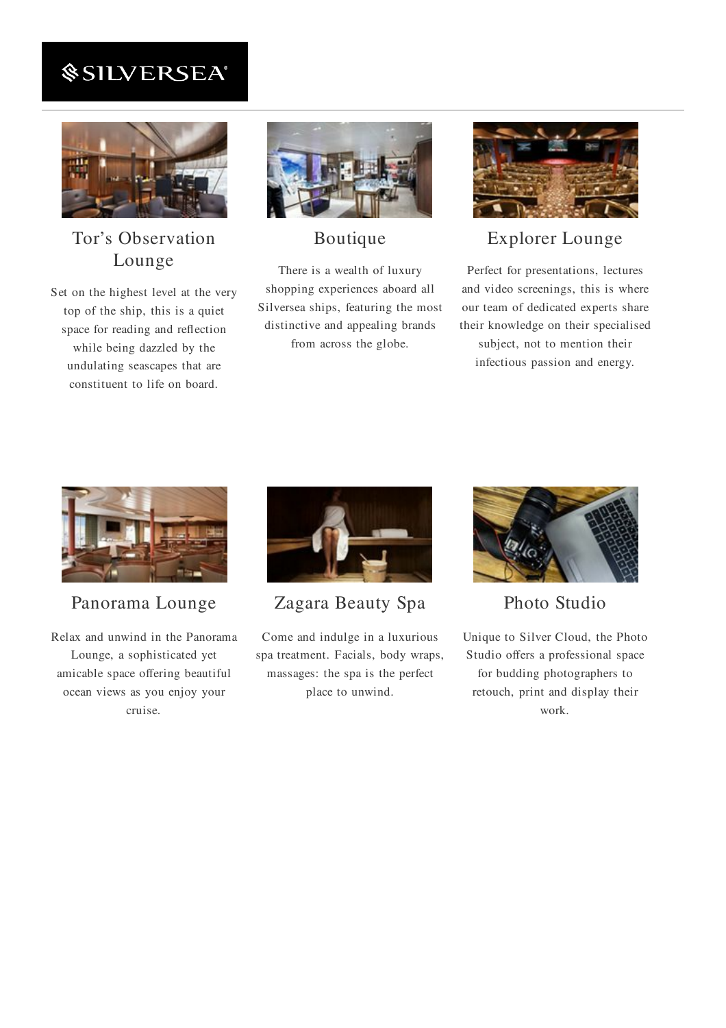

### Tor's Observation Lounge

Set on the highest level at the very top of the ship, this is a quiet space for reading and reflection while being dazzled by the undulating seascapes that are constituent to life on board.



## Boutique

There is a wealth of luxury shopping experiences aboard all Silversea ships, featuring the most distinctive and appealing brands from across the globe.



### Explorer Lounge

Perfect for presentations, lectures and video screenings, this is where our team of dedicated experts share their knowledge on their specialised

subject, not to mention their infectious passion and energy.



### Panorama Lounge

Relax and unwind in the Panorama Lounge, a sophisticated yet amicable space offering beautiful ocean views as you enjoy your cruise.



Zagara Beauty Spa

Come and indulge in a luxurious spa treatment. Facials, body wraps, massages: the spa is the perfect place to unwind.



Photo Studio

Unique to Silver Cloud, the Photo Studio offers a professional space for budding photographers to retouch, print and display their work.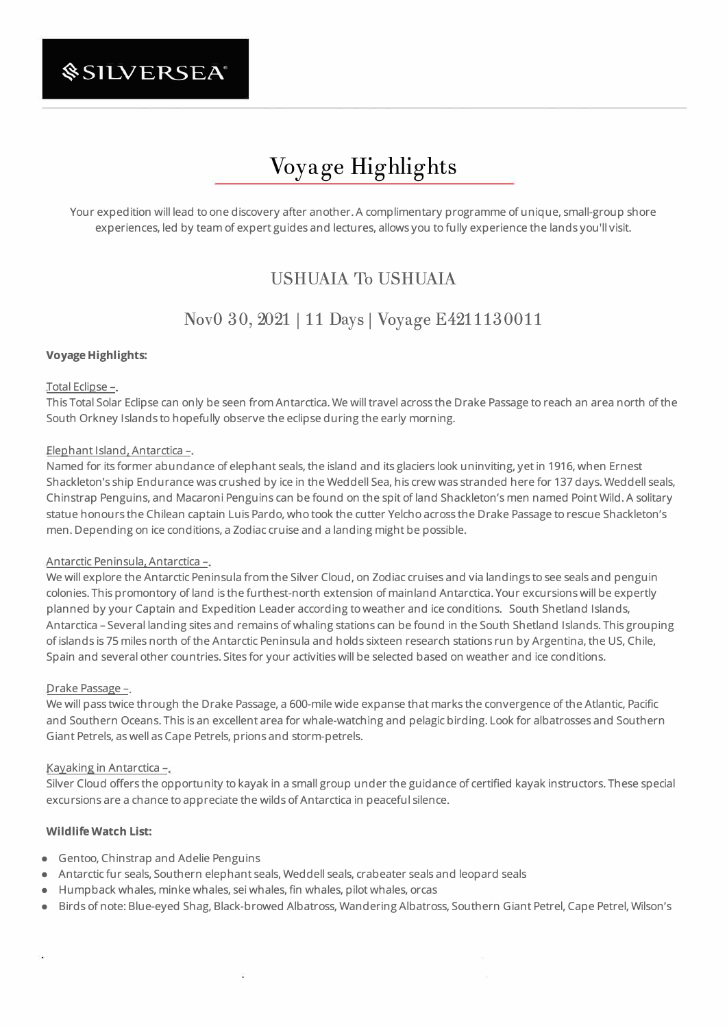# **Voyage Highlights**

Your expedition will lead to one discovery after another. A complimentary programme of unique, small-group shore experiences, led by team of expert guides and lectures, allows you to fully experience the lands you'II visit.

### USHUAIA To USHUAIA

### Nov0 30, 2021 | 11 Days | Voyage E4211130011

#### **Voyage Highlights:**

#### Total Eclipse -

This Total Solar Eclipse can only be seen from Antarctica. We will travel across the Drake Passage to reach an area north of the South Orkney lslands to hopefully observe the eclipse during the early morning.

#### Elephant Island, Antarctica -

Named far its farmer abundance of elephant seals, the island and its glaciers look uninviting, yet in 1916, when Ernest Shackleton's ship Endurance was crushed by ice in the Weddell Sea, his crew was stranded here for 137 days. Weddell seals, Chinstrap Penguins, and Macaroni Penguins can be faund on the spit of land Shackleton's men named Point Wild. A solitary statue honours the Chilean captain Luis Pardo, who took the cutter Yelcho across the Drake Passage to rescue Shackleton's men. Depending on ice conditions, a Zodiac cruise and a landing might be possible.

#### Antarctic Peninsula, Antarctica -

We will explore the Antarctic Peninsula from the Silver Cloud, on Zodiac cruises and via landings to see seals and penguin colonies. This promontory of land is the furthest-north extension of mainland Antarctica. Your excursions will be expertly planned by your Captain and Expedition Leader according to weather and ice conditions. South Shetland Islands, Antarctica - Several landing sites and remains of whaling stations can be found in the South Shetland Islands. This grouping of islands is 75 miles north of the Antarctic Peninsula and holds sixteen research stations run by Argentina, the US, Chile, Spain and several other countries. Sites for your activities will be selected based on weather and ice conditions.

#### Drake Passage -

We will pass twice through the Drake Passage, a 600-mile wide expanse that marks the convergence of the Atlantic, Pacific and Southern Oceans. This is an excellent area for whale-watching and pelagic birding. Look for albatrosses and Southern Giant Petrels, as well as Cape Petrels, prions and storm-petrels.

#### Kayaking in Antarctica -

Silver Cloud offers the opportunity to kayak in a small group under the guidance of certified kayak instructors. These special excursions are a chance to appreciate the wilds of Antarctica in peaceful silence.

#### **WildlifeWatch List:**

- Gentoo, Chinstrap and Adelie Penguins
- Antarctic fur seals, Southern elephant seals, Weddell seals, crabeater seals and leopard seals
- Humpback whales, minke whales, sei whales, fin whales, pilot whales, orcas
- Birds of note: Blue-eyed Shag, Black-browed Albatross, Wandering Albatross, Southern Giant Petrel, Cape Petrel, Wilson's